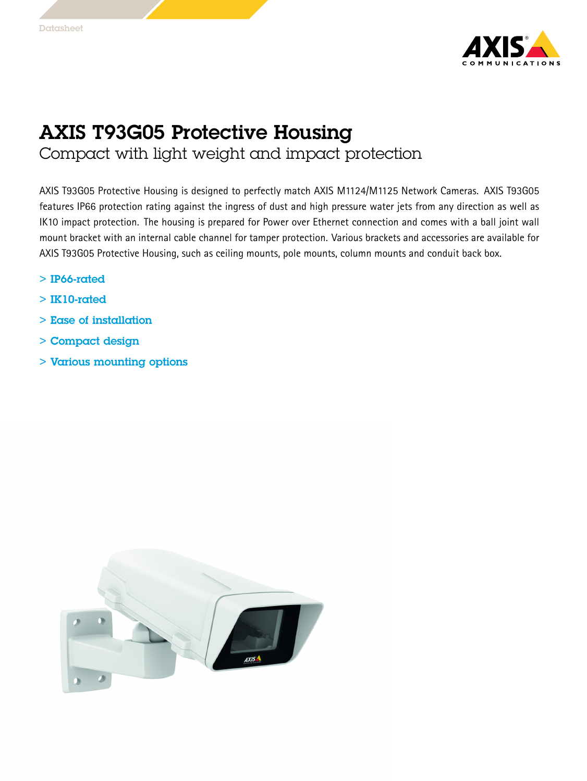

## AXIS T93G05 Protective Housing

Compact with light weight and impact protection

AXIS T93G05 Protective Housing is designed to perfectly match AXIS M1124/M1125 Network Cameras. AXIS T93G05 features IP66 protection rating against the ingress of dust and high pressure water jets from any direction as well as IK10 impact protection. The housing is prepared for Power over Ethernet connection and comes with <sup>a</sup> ball joint wall mount bracket with an internal cable channel for tamper protection. Various brackets and accessories are available for AXIS T93G05 Protective Housing, such as ceiling mounts, pole mounts, column mounts and conduit back box.

- > IP66-rated
- > IK10-rated
- > Ease of installation
- > Compact design
- > Various mounting options